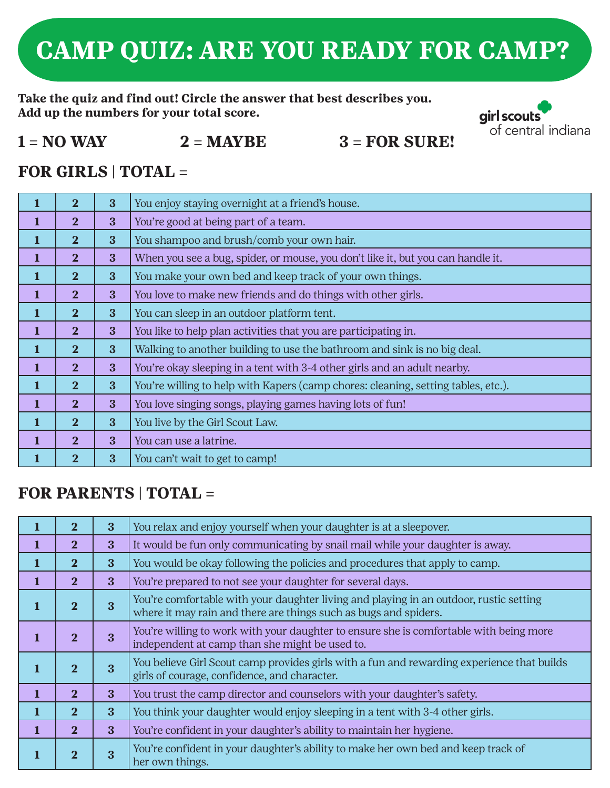# **CAMP QUIZ: ARE YOU READY FOR CAMP?**

**Take the quiz and find out! Circle the answer that best describes you. Add up the numbers for your total score.**



#### $1 = NO$  WAY  $2 = MAYBE$   $3 = FOR$  SURE!

## **FOR GIRLS | TOTAL =**

|              | $\mathbf{2}$            | 3            | You enjoy staying overnight at a friend's house.                                  |
|--------------|-------------------------|--------------|-----------------------------------------------------------------------------------|
|              | $\overline{\mathbf{2}}$ | 3            | You're good at being part of a team.                                              |
| $\mathbf{1}$ | $\overline{2}$          | 3            | You shampoo and brush/comb your own hair.                                         |
| $\mathbf{1}$ | $\overline{\mathbf{2}}$ | 3            | When you see a bug, spider, or mouse, you don't like it, but you can handle it.   |
| $\mathbf{1}$ | 2 <sub>1</sub>          | $\mathbf{3}$ | You make your own bed and keep track of your own things.                          |
| $\mathbf{1}$ | $\overline{2}$          | 3            | You love to make new friends and do things with other girls.                      |
| $\mathbf{1}$ | 2 <sup>1</sup>          | 3            | You can sleep in an outdoor platform tent.                                        |
| $\mathbf{1}$ | $\overline{\mathbf{2}}$ | 3            | You like to help plan activities that you are participating in.                   |
| 1            | $\mathbf{2}$            | 3            | Walking to another building to use the bathroom and sink is no big deal.          |
|              | $\overline{2}$          | 3            | You're okay sleeping in a tent with 3-4 other girls and an adult nearby.          |
| 1            | $\overline{2}$          | 3            | You're willing to help with Kapers (camp chores: cleaning, setting tables, etc.). |
| 1            | $\mathbf{2}$            | 3            | You love singing songs, playing games having lots of fun!                         |
| $\mathbf{1}$ | $\overline{\mathbf{2}}$ | 3            | You live by the Girl Scout Law.                                                   |
| $\mathbf{1}$ | $\mathbf{2}$            | 3            | You can use a latrine.                                                            |
|              | $\mathbf{2}$            | 3            | You can't wait to get to camp!                                                    |

#### **FOR PARENTS | TOTAL =**

|              | $\overline{2}$ | 3            | You relax and enjoy yourself when your daughter is at a sleepover.                                                                                         |
|--------------|----------------|--------------|------------------------------------------------------------------------------------------------------------------------------------------------------------|
| $\mathbf{1}$ | $\overline{2}$ | $\mathbf{3}$ | It would be fun only communicating by snail mail while your daughter is away.                                                                              |
| $\mathbf 1$  | $\overline{2}$ | 3            | You would be okay following the policies and procedures that apply to camp.                                                                                |
| $\mathbf 1$  | $\overline{2}$ | $\mathbf{3}$ | You're prepared to not see your daughter for several days.                                                                                                 |
| $\mathbf{1}$ | $\overline{2}$ | 3            | You're comfortable with your daughter living and playing in an outdoor, rustic setting<br>where it may rain and there are things such as bugs and spiders. |
|              | $\mathbf{2}$   | 3            | You're willing to work with your daughter to ensure she is comfortable with being more<br>independent at camp than she might be used to.                   |
| $\mathbf{1}$ | $\mathbf{2}$   | 3            | You believe Girl Scout camp provides girls with a fun and rewarding experience that builds<br>girls of courage, confidence, and character.                 |
| $\mathbf{1}$ | $\mathbf{2}$   | $\mathbf{3}$ | You trust the camp director and counselors with your daughter's safety.                                                                                    |
| $\mathbf{1}$ | $\mathbf{2}$   | $\mathbf{3}$ | You think your daughter would enjoy sleeping in a tent with 3-4 other girls.                                                                               |
| 1            | $\mathbf{2}$   | $\mathbf{3}$ | You're confident in your daughter's ability to maintain her hygiene.                                                                                       |
|              | $\overline{2}$ | 3            | You're confident in your daughter's ability to make her own bed and keep track of<br>her own things.                                                       |